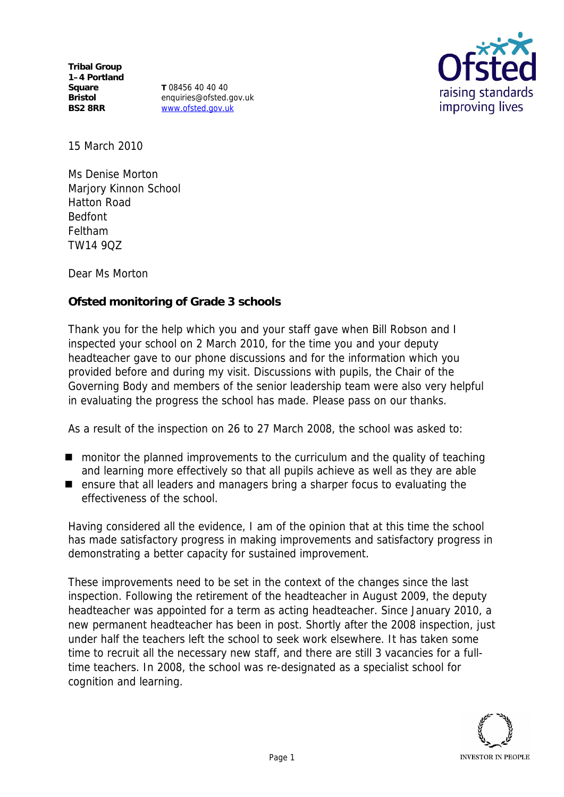**Tribal Group 1–4 Portland Square Bristol BS2 8RR**

**T** 08456 40 40 40 enquiries@ofsted.gov.uk www.ofsted.gov.uk



15 March 2010

Ms Denise Morton Marjory Kinnon School Hatton Road Bedfont Feltham TW14 9QZ

Dear Ms Morton

**Ofsted monitoring of Grade 3 schools**

Thank you for the help which you and your staff gave when Bill Robson and I inspected your school on 2 March 2010*,* for the time you and your deputy headteacher gave to our phone discussions and for the information which you provided before and during my visit*.* Discussions with pupils, the Chair of the Governing Body and members of the senior leadership team were also very helpful in evaluating the progress the school has made. Please pass on our thanks.

As a result of the inspection on 26 to 27 March 2008, the school was asked to:

- monitor the planned improvements to the curriculum and the quality of teaching and learning more effectively so that all pupils achieve as well as they are able
- ensure that all leaders and managers bring a sharper focus to evaluating the effectiveness of the school.

Having considered all the evidence, I am of the opinion that at this time the school has made satisfactory progress in making improvements and satisfactory progress in demonstrating a better capacity for sustained improvement.

These improvements need to be set in the context of the changes since the last inspection. Following the retirement of the headteacher in August 2009, the deputy headteacher was appointed for a term as acting headteacher. Since January 2010, a new permanent headteacher has been in post. Shortly after the 2008 inspection, just under half the teachers left the school to seek work elsewhere. It has taken some time to recruit all the necessary new staff, and there are still 3 vacancies for a fulltime teachers. In 2008, the school was re-designated as a specialist school for cognition and learning.

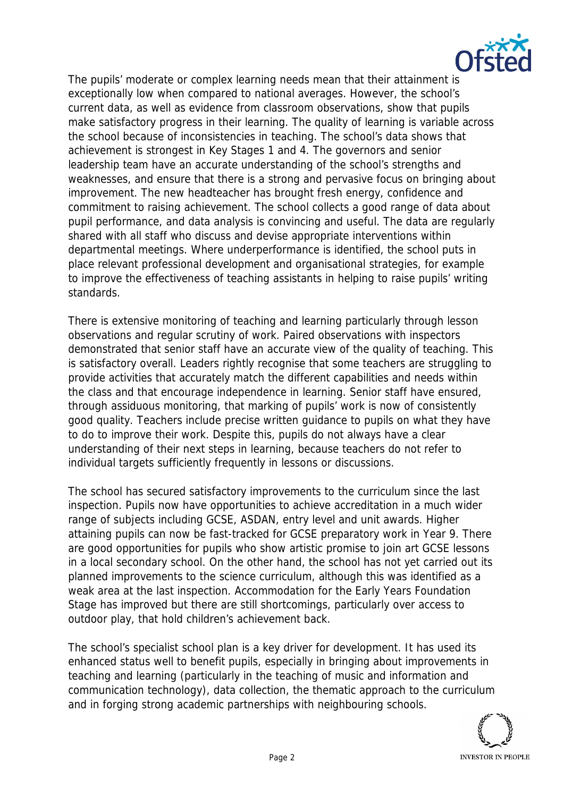

The pupils' moderate or complex learning needs mean that their attainment is exceptionally low when compared to national averages. However, the school's current data, as well as evidence from classroom observations, show that pupils make satisfactory progress in their learning. The quality of learning is variable across the school because of inconsistencies in teaching. The school's data shows that achievement is strongest in Key Stages 1 and 4. The governors and senior leadership team have an accurate understanding of the school's strengths and weaknesses, and ensure that there is a strong and pervasive focus on bringing about improvement. The new headteacher has brought fresh energy, confidence and commitment to raising achievement. The school collects a good range of data about pupil performance, and data analysis is convincing and useful. The data are regularly shared with all staff who discuss and devise appropriate interventions within departmental meetings. Where underperformance is identified, the school puts in place relevant professional development and organisational strategies, for example to improve the effectiveness of teaching assistants in helping to raise pupils' writing standards.

There is extensive monitoring of teaching and learning particularly through lesson observations and regular scrutiny of work. Paired observations with inspectors demonstrated that senior staff have an accurate view of the quality of teaching. This is satisfactory overall. Leaders rightly recognise that some teachers are struggling to provide activities that accurately match the different capabilities and needs within the class and that encourage independence in learning. Senior staff have ensured, through assiduous monitoring, that marking of pupils' work is now of consistently good quality. Teachers include precise written guidance to pupils on what they have to do to improve their work. Despite this, pupils do not always have a clear understanding of their next steps in learning, because teachers do not refer to individual targets sufficiently frequently in lessons or discussions.

The school has secured satisfactory improvements to the curriculum since the last inspection. Pupils now have opportunities to achieve accreditation in a much wider range of subjects including GCSE, ASDAN, entry level and unit awards. Higher attaining pupils can now be fast-tracked for GCSE preparatory work in Year 9. There are good opportunities for pupils who show artistic promise to join art GCSE lessons in a local secondary school. On the other hand, the school has not yet carried out its planned improvements to the science curriculum, although this was identified as a weak area at the last inspection. Accommodation for the Early Years Foundation Stage has improved but there are still shortcomings, particularly over access to outdoor play, that hold children's achievement back.

The school's specialist school plan is a key driver for development. It has used its enhanced status well to benefit pupils, especially in bringing about improvements in teaching and learning (particularly in the teaching of music and information and communication technology), data collection, the thematic approach to the curriculum and in forging strong academic partnerships with neighbouring schools.